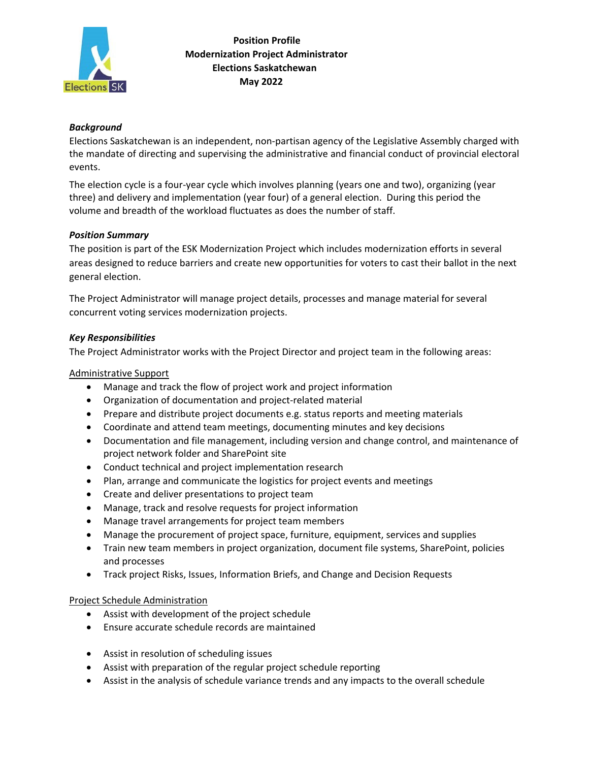

### *Background*

Elections Saskatchewan is an independent, non‐partisan agency of the Legislative Assembly charged with the mandate of directing and supervising the administrative and financial conduct of provincial electoral events.

The election cycle is a four‐year cycle which involves planning (years one and two), organizing (year three) and delivery and implementation (year four) of a general election. During this period the volume and breadth of the workload fluctuates as does the number of staff.

### *Position Summary*

The position is part of the ESK Modernization Project which includes modernization efforts in several areas designed to reduce barriers and create new opportunities for voters to cast their ballot in the next general election.

The Project Administrator will manage project details, processes and manage material for several concurrent voting services modernization projects.

### *Key Responsibilities*

The Project Administrator works with the Project Director and project team in the following areas:

### Administrative Support

- Manage and track the flow of project work and project information
- Organization of documentation and project-related material
- Prepare and distribute project documents e.g. status reports and meeting materials
- Coordinate and attend team meetings, documenting minutes and key decisions
- Documentation and file management, including version and change control, and maintenance of project network folder and SharePoint site
- Conduct technical and project implementation research
- Plan, arrange and communicate the logistics for project events and meetings
- Create and deliver presentations to project team
- Manage, track and resolve requests for project information
- Manage travel arrangements for project team members
- Manage the procurement of project space, furniture, equipment, services and supplies
- Train new team members in project organization, document file systems, SharePoint, policies and processes
- Track project Risks, Issues, Information Briefs, and Change and Decision Requests

### Project Schedule Administration

- Assist with development of the project schedule
- Ensure accurate schedule records are maintained
- Assist in resolution of scheduling issues
- Assist with preparation of the regular project schedule reporting
- Assist in the analysis of schedule variance trends and any impacts to the overall schedule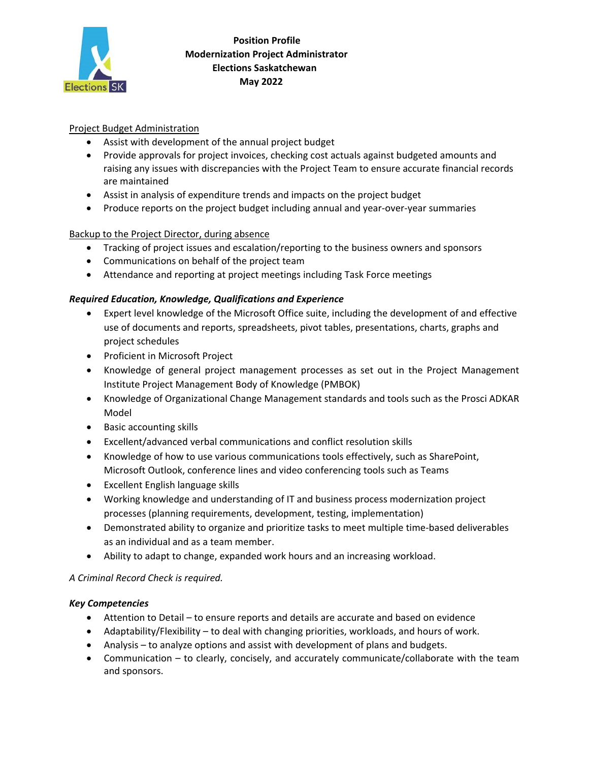

# **Position Profile Modernization Project Administrator Elections Saskatchewan May 2022**

# Project Budget Administration

- Assist with development of the annual project budget
- Provide approvals for project invoices, checking cost actuals against budgeted amounts and raising any issues with discrepancies with the Project Team to ensure accurate financial records are maintained
- Assist in analysis of expenditure trends and impacts on the project budget
- Produce reports on the project budget including annual and year-over-year summaries

# Backup to the Project Director, during absence

- Tracking of project issues and escalation/reporting to the business owners and sponsors
- Communications on behalf of the project team
- Attendance and reporting at project meetings including Task Force meetings

### *Required Education, Knowledge, Qualifications and Experience*

- Expert level knowledge of the Microsoft Office suite, including the development of and effective use of documents and reports, spreadsheets, pivot tables, presentations, charts, graphs and project schedules
- Proficient in Microsoft Project
- Knowledge of general project management processes as set out in the Project Management Institute Project Management Body of Knowledge (PMBOK)
- Knowledge of Organizational Change Management standards and tools such as the Prosci ADKAR Model
- Basic accounting skills
- Excellent/advanced verbal communications and conflict resolution skills
- Knowledge of how to use various communications tools effectively, such as SharePoint, Microsoft Outlook, conference lines and video conferencing tools such as Teams
- Excellent English language skills
- Working knowledge and understanding of IT and business process modernization project processes (planning requirements, development, testing, implementation)
- Demonstrated ability to organize and prioritize tasks to meet multiple time-based deliverables as an individual and as a team member.
- Ability to adapt to change, expanded work hours and an increasing workload.

### *A Criminal Record Check is required.*

### *Key Competencies*

- Attention to Detail to ensure reports and details are accurate and based on evidence
- Adaptability/Flexibility to deal with changing priorities, workloads, and hours of work.
- Analysis to analyze options and assist with development of plans and budgets.
- Communication to clearly, concisely, and accurately communicate/collaborate with the team and sponsors.